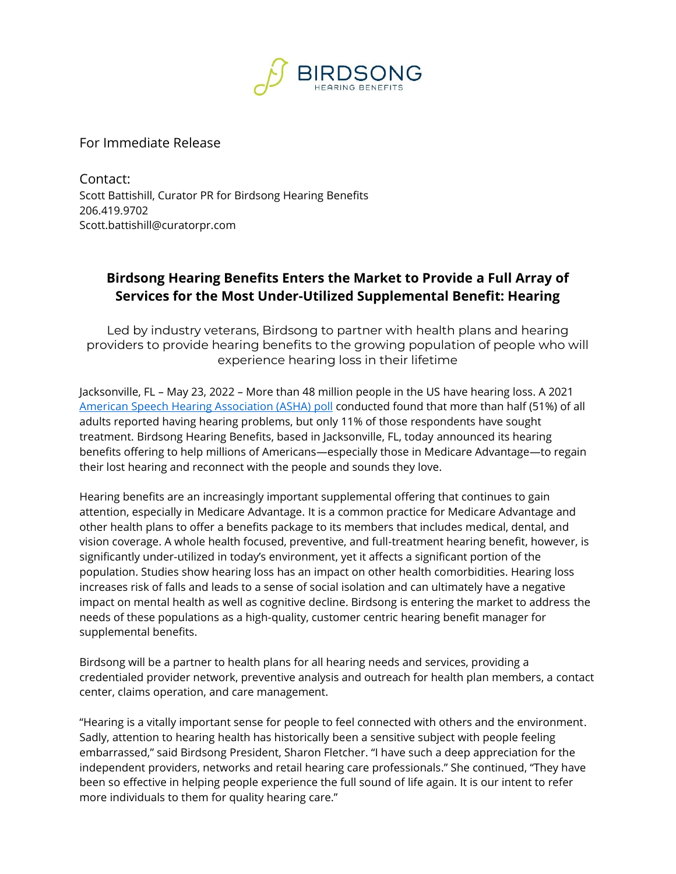

For Immediate Release

Contact: Scott Battishill, Curator PR for Birdsong Hearing Benefits 206.419.9702 Scott.battishill@curatorpr.com

## **Birdsong Hearing Benefits Enters the Market to Provide a Full Array of Services for the Most Under-Utilized Supplemental Benefit: Hearing**

Led by industry veterans, Birdsong to partner with health plans and hearing providers to provide hearing benefits to the growing population of people who will experience hearing loss in their lifetime

Jacksonville, FL – May 23, 2022 – More than 48 million people in the US have hearing loss. A 2021 [American Speech Hearing Association](https://www.asha.org/news/2021/new-poll-of-us-adults-reveals-widespread-inaction-on-hearing-loss/) (ASHA) poll conducted found that more than half (51%) of all adults reported having hearing problems, but only 11% of those respondents have sought treatment. Birdsong Hearing Benefits, based in Jacksonville, FL, today announced its hearing benefits offering to help millions of Americans—especially those in Medicare Advantage—to regain their lost hearing and reconnect with the people and sounds they love.

Hearing benefits are an increasingly important supplemental offering that continues to gain attention, especially in Medicare Advantage. It is a common practice for Medicare Advantage and other health plans to offer a benefits package to its members that includes medical, dental, and vision coverage. A whole health focused, preventive, and full-treatment hearing benefit, however, is significantly under-utilized in today's environment, yet it affects a significant portion of the population. Studies show hearing loss has an impact on other health comorbidities. Hearing loss increases risk of falls and leads to a sense of social isolation and can ultimately have a negative impact on mental health as well as cognitive decline. Birdsong is entering the market to address the needs of these populations as a high-quality, customer centric hearing benefit manager for supplemental benefits.

Birdsong will be a partner to health plans for all hearing needs and services, providing a credentialed provider network, preventive analysis and outreach for health plan members, a contact center, claims operation, and care management.

"Hearing is a vitally important sense for people to feel connected with others and the environment. Sadly, attention to hearing health has historically been a sensitive subject with people feeling embarrassed," said Birdsong President, Sharon Fletcher. "I have such a deep appreciation for the independent providers, networks and retail hearing care professionals." She continued, "They have been so effective in helping people experience the full sound of life again. It is our intent to refer more individuals to them for quality hearing care."